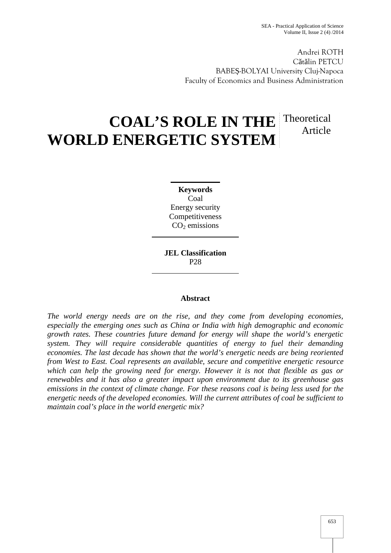Andrei ROTH C t lin PETCU BABE -BOLYAI University Cluj-Napoca Faculty of Economics and Business Administration

# **COAL'S ROLE IN THE** Theoretical **WORLD ENERGETIC SYSTEM** Article

**Keywords** Coal Energy security Competitiveness  $CO<sub>2</sub>$  emissions

**JEL Classification** P28

# **Abstract**

*The world energy needs are on the rise, and they come from developing economies, especially the emerging ones such as China or India with high demographic and economic growth rates. These countries future demand for energy will shape the world's energetic system. They will require considerable quantities of energy to fuel their demanding economies. The last decade has shown that the world's energetic needs are being reoriented from West to East. Coal represents an available, secure and competitive energetic resource which can help the growing need for energy. However it is not that flexible as gas or renewables and it has also a greater impact upon environment due to its greenhouse gas emissions in the context of climate change. For these reasons coal is being less used for the energetic needs of the developed economies. Will the current attributes of coal be sufficient to maintain coal's place in the world energetic mix?*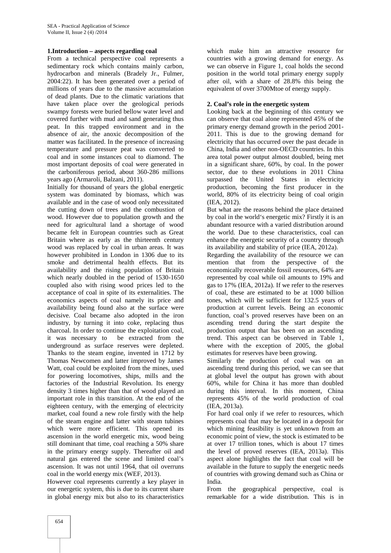#### **1.Introduction – aspects regarding coal**

From a technical perspective coal represents a sedimentary rock which contains mainly carbon, hydrocarbon and minerals (Bradely Jr., Fulmer, 2004:22). It has been generated over a period of millions of years due to the massive accumulation of dead plants. Due to the climatic variations that have taken place over the geological periods swampy forests were buried bellow water level and covered further with mud and sand generating thus peat. In this trapped environment and in the absence of air, the anoxic decomposition of the matter was facilitated. In the presence of increasing temperature and pressure peat was converted to coal and in some instances coal to diamond. The most important deposits of coal were generated in the carboniferous period, about 360-286 millions years ago (Armaroli, Balzani, 2011).

Initially for thousand of years the global energetic system was dominated by biomass, which was available and in the case of wood only necessitated the cutting down of trees and the combustion of wood. However due to population growth and the need for agricultural land a shortage of wood became felt in European countries such as Great Britain where as early as the thirteenth century wood was replaced by coal in urban areas. It was however prohibited in London in 1306 due to its smoke and detrimental health effects. But its availability and the rising population of Britain which nearly doubled in the period of 1530-1650 coupled also with rising wood prices led to the acceptance of coal in spite of its externalities. The economics aspects of coal namely its price and availability being found also at the surface were decisive. Coal became also adopted in the iron industry, by turning it into coke, replacing thus charcoal. In order to continue the exploitation coal, it was necessary to be extracted from the underground as surface reserves were depleted. Thanks to the steam engine, invented in 1712 by Thomas Newcomen and latter improved by James Watt, coal could be exploited from the mines, used for powering locomotives, ships, mills and the factories of the Industrial Revolution. Its energy density 3 times higher than that of wood played an important role in this transition. At the end of the eighteen century, with the emerging of electricity market, coal found a new role firstly with the help of the steam engine and latter with steam tubines which were more efficient. This opened its ascension in the world energetic mix, wood being still dominant that time, coal reaching a 50% share in the primary energy supply. Thereafter oil and natural gas entered the scene and limited coal's ascension. It was not until 1964, that oil overruns coal in the world energy mix (WEF, 2013).

However coal represents currently a key player in our energetic system, this is due to its current share in global energy mix but also to its characteristics

which make him an attractive resource for countries with a growing demand for energy. As we can observe in Figure 1, coal holds the second position in the world total primary energy supply after oil, with a share of 28.8% this being the equivalent of over 3700Mtoe of energy supply.

### **2. Coal's role in the energetic system**

Looking back at the beginning of this century we can observe that coal alone represented 45% of the primary energy demand growth in the period 2001- 2011. This is due to the growing demand for electricity that has occurred over the past decade in China, India and other non-OECD countries. In this area total power output almost doubled, being met in a significant share, 60%, by coal. In the power sector, due to these evolutions in 2011 China surpassed the United States in electricity production, becoming the first producer in the world, 80% of its electricity being of coal origin (IEA, 2012).

But what are the reasons behind the place detained by coal in the world's energetic mix? Firstly it is an abundant resource with a varied distribution around the world. Due to these characteristics, coal can enhance the energetic security of a country through its availability and stability of price (IEA, 2012a).

Regarding the availability of the resource we can mention that from the perspective of the economically recoverable fossil resources, 64% are represented by coal while oil amounts to 19% and gas to 17% (IEA, 2012a). If we refer to the reserves of coal, these are estimated to be at 1000 billion tones, which will be sufficient for 132.5 years of production at current levels. Being an economic function, coal's proved reserves have been on an ascending trend during the start despite the production output that has been on an ascending trend. This aspect can be observed in Table 1, where with the exception of 2005, the global estimates for reserves have been growing.

Similarly the production of coal was on an ascending trend during this period, we can see that at global level the output has grown with about 60%, while for China it has more than doubled during this interval. In this moment, China represents 45% of the world production of coal (IEA, 2013a).

For hard coal only if we refer to resources, which represents coal that may be located in a deposit for which mining feasibility is yet unknown from an economic point of view, the stock is estimated to be at over 17 trillion tones, which is about 17 times the level of proved reserves (IEA, 2013a). This aspect alone highlights the fact that coal will be available in the future to supply the energetic needs of countries with growing demand such as China or India.

From the geographical perspective, coal is remarkable for a wide distribution. This is in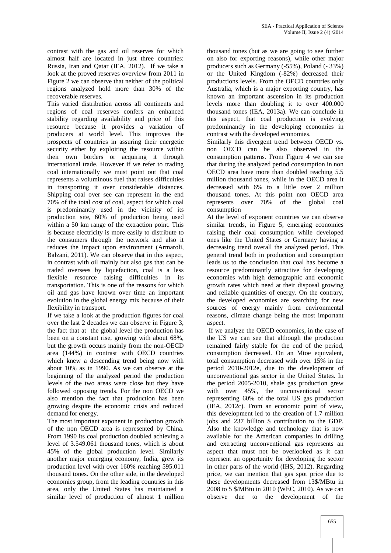contrast with the gas and oil reserves for which almost half are located in just three countries: Russia, Iran and Qatar (IEA, 2012). If we take a look at the proved reserves overview from 2011 in Figure 2 we can observe that neither of the political regions analyzed hold more than 30% of the recoverable reserves.

This varied distribution across all continents and regions of coal reserves confers an enhanced stability regarding availability and price of this resource because it provides a variation of producers at world level. This improves the prospects of countries in assuring their energetic security either by exploiting the resource within their own borders or acquiring it through international trade. However if we refer to trading coal internationally we must point out that coal represents a voluminous fuel that raises difficulties in transporting it over considerable distances. Shipping coal over see can represent in the end 70% of the total cost of coal, aspect for which coal is predominantly used in the vicinity of its production site, 60% of production being used within a 50 km range of the extraction point. This is because electricity is more easily to distribute to the consumers through the network and also it reduces the impact upon environment (Armaroli, Balzani, 2011). We can observe that in this aspect, in contrast with oil mainly but also gas that can be traded oversees by liquefaction, coal is a less flexible resource raising difficulties in its transportation. This is one of the reasons for which oil and gas have known over time an important evolution in the global energy mix because of their flexibility in transport.

If we take a look at the production figures for coal over the last 2 decades we can observe in Figure 3, the fact that at the global level the production has been on a constant rise, growing with about 68%, but the growth occurs mainly from the non-OECD area (144%) in contrast with OECD countries which knew a descending trend being now with about 10% as in 1990. As we can observe at the beginning of the analyzed period the production levels of the two areas were close but they have followed opposing trends. For the non OECD we also mention the fact that production has been growing despite the economic crisis and reduced demand for energy.

The most important exponent in production growth of the non OECD area is represented by China. From 1990 its coal production doubled achieving a level of 3.549.061 thousand tones, which is about 45% of the global production level. Similarly another major emerging economy, India, grew its production level with over 160% reaching 595.011 thousand tones. On the other side, in the developed economies group, from the leading countries in this area, only the United States has maintained a similar level of production of almost 1 million

thousand tones (but as we are going to see further on also for exporting reasons), while other major producers such as Germany (-55%), Poland (- 33%) or the United Kingdom (-82%) decreased their productions levels. From the OECD countries only Australia, which is a major exporting country, has known an important ascension in its production levels more than doubling it to over 400.000 thousand tones (IEA, 2013a). We can conclude in this aspect, that coal production is evolving predominantly in the developing economies in contrast with the developed economies.

Similarly this divergent trend between OECD vs. non OECD can be also observed in the consumption patterns. From Figure 4 we can see that during the analyzed period consumption in non OECD area have more than doubled reaching 5.5 million thousand tones, while in the OECD area it decreased with 6% to a little over 2 million thousand tones. At this point non OECD area represents over 70% of the global coal consumption

At the level of exponent countries we can observe similar trends, in Figure 5, emerging economies raising their coal consumption while developed ones like the United States or Germany having a decreasing trend overall the analyzed period. This general trend both in production and consumption leads us to the conclusion that coal has become a resource predominantly attractive for developing economies with high demographic and economic growth rates which need at their disposal growing and reliable quantities of energy. On the contrary, the developed economies are searching for new sources of energy mainly from environmental reasons, climate change being the most important aspect.

If we analyze the OECD economies, in the case of the US we can see that although the production remained fairly stable for the end of the period, consumption decreased. On an Mtoe equivalent, total consumption decreased with over 15% in the period 2010-2012e, due to the development of unconventional gas sector in the United States. In the period 2005-2010, shale gas production grew with over 45%, the unconventional sector representing 60% of the total US gas production (IEA, 2012c). From an economic point of view, this development led to the creation of 1.7 million jobs and 237 billion \$ contribution to the GDP. Also the knowledge and technology that is now available for the American companies in drilling and extracting unconventional gas represents an aspect that must not be overlooked as it can represent an opportunity for developing the sector in other parts of the world (IHS, 2012). Regarding price, we can mention that gas spot price due to these developments decreased from 13\$/MBtu in 2008 to 5 \$/MBtu in 2010 (WEC, 2010). As we can observe due to the development of the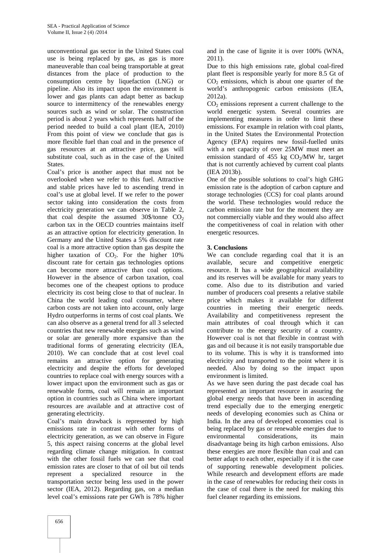unconventional gas sector in the United States coal use is being replaced by gas, as gas is more maneuverable than coal being transportable at great distances from the place of production to the consumption centre by liquefaction (LNG) or pipeline. Also its impact upon the environment is lower and gas plants can adapt better as backup source to intermittency of the renewables energy sources such as wind or solar. The construction period is about 2 years which represents half of the period needed to build a coal plant (IEA, 2010) From this point of view we conclude that gas is more flexible fuel than coal and in the presence of gas resources at an attractive price, gas will substitute coal, such as in the case of the United **States** 

Coal's price is another aspect that must not be overlooked when we refer to this fuel. Attractive and stable prices have led to ascending trend in coal's use at global level. If we refer to the power sector taking into consideration the costs from electricity generation we can observe in Table 2, that coal despite the assumed  $30\frac{6}{2}$  /tonne CO<sub>2</sub> carbon tax in the OECD countries maintains itself as an attractive option for electricity generation. In Germany and the United States a 5% discount rate coal is a more attractive option than gas despite the higher taxation of CO<sub>2</sub>. For the higher 10% discount rate for certain gas technologies options can become more attractive than coal options. However in the absence of carbon taxation, coal becomes one of the cheapest options to produce electricity its cost being close to that of nuclear. In China the world leading coal consumer, where carbon costs are not taken into account, only large Hydro outperforms in terms of cost coal plants. We can also observe as a general trend for all 3 selected countries that new renewable energies such as wind or solar are generally more expansive than the traditional forms of generating electricity (IEA, 2010). We can conclude that at cost level coal remains an attractive option for generating electricity and despite the efforts for developed countries to replace coal with energy sources with a lower impact upon the environment such as gas or renewable forms, coal will remain an important option in countries such as China where important resources are available and at attractive cost of generating electricity.

Coal's main drawback is represented by high emissions rate in contrast with other forms of electricity generation, as we can observe in Figure 5, this aspect raising concerns at the global level regarding climate change mitigation. In contrast with the other fossil fuels we can see that coal emission rates are closer to that of oil but oil tends represent a specialized resource in the transportation sector being less used in the power sector (IEA, 2012). Regarding gas, on a median level coal's emissions rate per GWh is 78% higher and in the case of lignite it is over 100% (WNA, 2011).

Due to this high emissions rate, global coal-fired plant fleet is responsible yearly for more 8.5 Gt of  $CO<sub>2</sub>$  emissions, which is about one quarter of the world's anthropogenic carbon emissions (IEA, 2012a).

 $CO<sub>2</sub>$  emissions represent a current challenge to the world energetic system. Several countries are implementing measures in order to limit these emissions. For example in relation with coal plants, in the United States the Environmental Protection Agency (EPA) requires new fossil-fuelled units with a net capacity of over 25MW must meet an emission standard of 455 kg  $CO<sub>2</sub>/MW$  hr, target that is not currently achieved by current coal plants (IEA 2013b).

One of the possible solutions to coal's high GHG emission rate is the adoption of carbon capture and storage technologies (CCS) for coal plants around the world. These technologies would reduce the carbon emission rate but for the moment they are not commercially viable and they would also affect the competitiveness of coal in relation with other energetic resources.

## **3. Conclusions**

We can conclude regarding coal that it is an available, secure and competitive energetic resource. It has a wide geographical availability and its reserves will be available for many years to come. Also due to its distribution and varied number of producers coal presents a relative stabile price which makes it available for different countries in meeting their energetic needs. Availability and competitiveness represent the main attributes of coal through which it can contribute to the energy security of a country. However coal is not that flexible in contrast with gas and oil because it is not easily transportable due to its volume. This is why it is transformed into electricity and transported to the point where it is needed. Also by doing so the impact upon environment is limited.

As we have seen during the past decade coal has represented an important resource in assuring the global energy needs that have been in ascending trend especially due to the emerging energetic needs of developing economies such as China or India. In the area of developed economies coal is being replaced by gas or renewable energies due to environmental considerations, its main disadvantage being its high carbon emissions. Also these energies are more flexible than coal and can better adapt to each other, especially if it is the case of supporting renewable development policies. While research and development efforts are made in the case of renewables for reducing their costs in the case of coal there is the need for making this fuel cleaner regarding its emissions.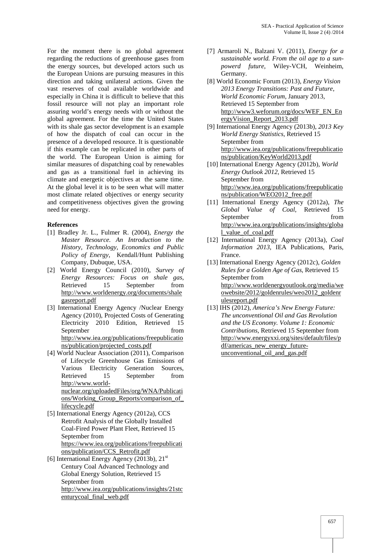For the moment there is no global agreement regarding the reductions of greenhouse gases from the energy sources, but developed actors such us the European Unions are pursuing measures in this direction and taking unilateral actions. Given the vast reserves of coal available worldwide and especially in China it is difficult to believe that this fossil resource will not play an important role assuring world's energy needs with or without the global agreement. For the time the United States with its shale gas sector development is an example of how the dispatch of coal can occur in the presence of a developed resource. It is questionable if this example can be replicated in other parts of the world. The European Union is aiming for similar measures of dispatching coal by renewables and gas as a transitional fuel in achieving its climate and energetic objectives at the same time. At the global level it is to be seen what will matter most climate related objectives or energy security and competitiveness objectives given the growing need for energy.

## **References**

- [1] Bradley Jr. L., Fulmer R. (2004), *Energy the Master Resource. An Introduction to the History, Technology, Economics and Public Policy of Energy*, Kendall/Hunt Publishing Company, Dubuque, USA.
- [2] World Energy Council (2010), *Survey of Energy Resources: Focus on shale gas*, Retrieved 15 September from http://www.worldenergy.org/documents/shale gasreport.pdf
- [3] International Energy Agency /Nuclear Energy Agency (2010), Projected Costs of Generating Electricity 2010 Edition, Retrieved 15 September from from  $\sim$ http://www.iea.org/publications/freepublicatio ns/publication/projected\_costs.pdf
- [4] World Nuclear Association (2011), Comparison of Lifecycle Greenhouse Gas Emissions of Various Electricity Generation Sources, Retrieved 15 September from http://www.world nuclear.org/uploadedFiles/org/WNA/Publicati ons/Working\_Group\_Reports/comparison\_of\_
- lifecycle.pdf [5] International Energy Agency (2012a), CCS Retrofit Analysis of the Globally Installed Coal-Fired Power Plant Fleet, Retrieved 15 September from https://www.iea.org/publications/freepublicati ons/publication/CCS\_Retrofit.pdf
- [6] International Energy Agency (2013b),  $21<sup>st</sup>$ Century Coal Advanced Technology and Global Energy Solution, Retrieved 15 September from http://www.iea.org/publications/insights/21stc enturycoal\_final\_web.pdf
- [7] Armaroli N., Balzani V. (2011), *Energy for a sustainable world. From the oil age to a sun powerd future*, Wiley-VCH, Weinheim, Germany.
- [8] World Economic Forum (2013), *Energy Vision 2013 Energy Transitions: Past and Future*, *World Economic Forum*, January 2013, Retrieved 15 September from http://www3.weforum.org/docs/WEF\_EN\_En ergyVision\_Report\_2013.pdf
- [9] International Energy Agency (2013b), *2013 Key World Energy Statistics*, Retrieved 15 September from http://www.iea.org/publications/freepublicatio ns/publication/KeyWorld2013.pdf
- [10] International Energy Agency (2012b), *World Energy Outlook 2012*, Retrieved 15 September from http://www.iea.org/publications/freepublicatio ns/publication/WEO2012\_free.pdf
- [11] International Energy Agency (2012a), *The Global Value of Coal*, Retrieved 15 September from from  $\sim$ http://www.iea.org/publications/insights/globa l\_value\_of\_coal.pdf
- [12] International Energy Agency (2013a), *Coal Information 2013*, IEA Publications, Paris, France.
- [13] International Energy Agency (2012c), *Golden Rules for a Golden Age of Gas*, Retrieved 15 September from http://www.worldenergyoutlook.org/media/we owebsite/2012/goldenrules/weo2012\_goldenr ulesreport.pdf
- [13] IHS (2012), *America's New Energy Future: The unconventional Oil and Gas Revolution and the US Economy. Volume 1: Economic Contributions*, Retrieved 15 September from http://www.energyxxi.org/sites/default/files/p df/americas\_new\_energy\_future unconventional\_oil\_and\_gas.pdf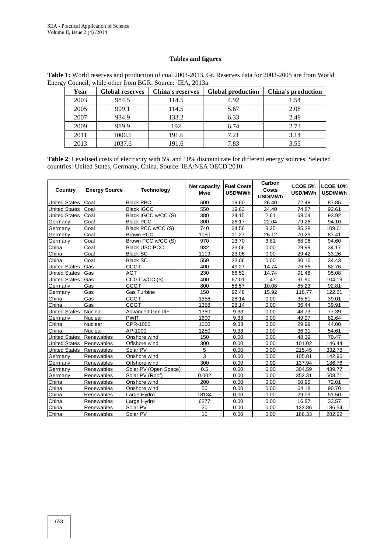#### **Tables and figures**

| Year | <b>Global reserves</b> | <b>China's reserves</b> | <b>Global production</b> | China's production |
|------|------------------------|-------------------------|--------------------------|--------------------|
| 2003 | 984.5                  | 114.5                   | 4.92                     | 1.54               |
| 2005 | 909.1                  | 114.5                   | 5.67                     | 2.08               |
| 2007 | 934.9                  | 133.2                   | 6.33                     | 2.48               |
| 2009 | 989.9                  | 192                     | 6.74                     | 2.73               |
| 2011 | 1000.5                 | 191.6                   | 7.21                     | 3.14               |
| 2013 | 1037.6                 | 191.6                   | 7.83                     | 3.55               |

**Table 1:** World reserves and production of coal 2003-2013, Gt. Reserves data for 2003-2005 are from World Energy Council, while other from BGR. Source: IEA, 2013a.

**Table 2**: Levelised costs of electricity with 5% and 10% discount rate for different energy sources. Selected countries: United States, Germany, China. Source: IEA/NEA OECD 2010.

| Country              | <b>Energy Source</b> | <b>Technology</b>     | Net capacity<br><b>Mwe</b> | <b>Fuel Costs</b><br>USD/MWh | Carbon<br>Costs<br>USD/MWh | <b>LCOE 5%</b><br>USD/MWh | <b>LCOE 10%</b><br>USD/MWh |
|----------------------|----------------------|-----------------------|----------------------------|------------------------------|----------------------------|---------------------------|----------------------------|
| <b>United States</b> | Coal                 | <b>Black PPC</b>      | 600                        | 19.60                        | 26.40                      | 72.49                     | 87.85                      |
| <b>United States</b> | Coal                 | <b>Black IGCC</b>     | 550                        | 19.63                        | 24.40                      | 74.87                     | 92.61                      |
| <b>United States</b> | Coal                 | Black IGCC w/CC (S)   | 380                        | 24.15                        | 2.61                       | 68.04                     | 93.92                      |
| Germany              | Coal                 | <b>Black PCC</b>      | 800                        | 28.17                        | 22.04                      | 79.26                     | 94.10                      |
| Germany              | Coal                 | Black PCC w/CC (S)    | 740                        | 34.56                        | 3.25                       | 85.28                     | 109.61                     |
| Germany              | Coal                 | <b>Brown PCC</b>      | 1050                       | 11.27                        | 26.12                      | 70.29                     | 87.41                      |
| Germany              | Coal                 | Brown PCC w/CC (S)    | 970                        | 13.70                        | 3.81                       | 68.06                     | 94.60                      |
| China                | Coal                 | <b>Black USC PCC</b>  | 932                        | 23.06                        | 0.00                       | 29.99                     | 34.17                      |
| China                | Coal                 | <b>Black SC</b>       | 1119                       | 23.06                        | 0.00                       | 29.42                     | 33.26                      |
| China                | Coal                 | <b>Black SC</b>       | 559                        | 23.06                        | 0.00                       | 30.16                     | 34.43                      |
| <b>United States</b> | Gas                  | <b>CCGT</b>           | 400                        | 49.27                        | 14.74                      | 76.56                     | 82.76                      |
| <b>United States</b> | <b>G</b> as          | AGT                   | 230                        | 66.52                        | 14.74                      | 91.48                     | 95.08                      |
| <b>United States</b> | Gas                  | CCGT w/CC (S)         | 400                        | 67.01                        | 1.47                       | 91.90                     | 104.19                     |
| Germany              | Gas                  | CCGT                  | 800                        | 58.57                        | 10.08                      | 85.23                     | 92.81                      |
| Germany              | Gas                  | Gas Turbine           | 150                        | 92.48                        | 15.92                      | 118.77                    | 122.61                     |
| China                | Gas                  | CCGT                  | 1358                       | 28.14                        | 0.00                       | 35.81                     | 39.01                      |
| China                | Gas                  | CCGT                  | 1358                       | 28.14                        | 0.00                       | 36.44                     | 39.91                      |
| <b>United States</b> | Nuclear              | Advanced Gen III+     | 1350                       | 9.33                         | 0.00                       | 48.73                     | 77.39                      |
| Germany              | Nuclear              | <b>PWR</b>            | 1600                       | 9.33                         | 0.00                       | 49.97                     | 82.64                      |
| China                | Nuclear              | CPR-1000              | 1000                       | 9.33                         | 0.00                       | 29.99                     | 44.00                      |
| China                | Nuclear              | AP-1000               | 1250                       | 9.33                         | 0.00                       | 36.31                     | 54.61                      |
| <b>United States</b> | Renewables           | Onshore wind          | 150                        | 0.00                         | 0.00                       | 48.39                     | 70.47                      |
| <b>United States</b> | Renewables           | Offshore wind         | 300                        | 0.00                         | 0.00                       | 101.02                    | 146.44                     |
| <b>United States</b> | Renewables           | Solar PV              | 5                          | 0.00                         | 0.00                       | 215.45                    | 332.78                     |
| Germany              | Renewables           | Onshore wind          | 3                          | 0.00                         | 0.00                       | 105.81                    | 142.96                     |
| Germany              | Renewables           | Offshore wind         | 300                        | 0.00                         | 0.00                       | 137.94                    | 186.76                     |
| Germany              | Renewables           | Solar PV (Open Space) | 0.5                        | 0.00                         | 0.00                       | 304.59                    | 439.77                     |
| Germany              | Renewables           | Solar PV (Roof)       | 0.002                      | 0.00                         | 0.00                       | 352.31                    | 508.71                     |
| China                | Renewables           | Onshore wind          | 200                        | 0.00                         | 0.00                       | 50.95                     | 72.01                      |
| China                | Renewables           | Onshore wind          | 50                         | 0.00                         | 0.00                       | 64.18                     | 90.70                      |
| China                | Renewables           | Large Hydro           | 18134                      | 0.00                         | 0.00                       | 29.09                     | 51.50                      |
| China                | Renewables           | Large Hydro           | 6277                       | 0.00                         | 0.00                       | 16.87                     | 33.57                      |
| China                | Renewables           | Solar PV              | 20                         | 0.00                         | 0.00                       | 122.86                    | 186.54                     |
| China                | Renewables           | Solar PV              | 10                         | 0.00                         | 0.00                       | 186.33                    | 282.92                     |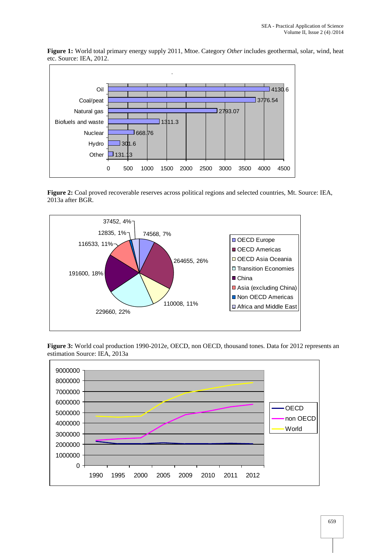**Figure 1:** World total primary energy supply 2011, Mtoe. Category *Other* includes geothermal, solar, wind, heat etc. Source: IEA, 2012.



**Figure 2:** Coal proved recoverable reserves across political regions and selected countries, Mt. Source: IEA, 2013a after BGR.



**Figure 3:** World coal production 1990-2012e, OECD, non OECD, thousand tones. Data for 2012 represents an estimation Source: IEA, 2013a